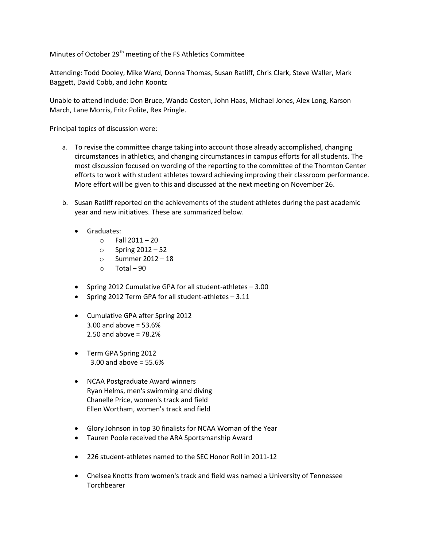Minutes of October 29<sup>th</sup> meeting of the FS Athletics Committee

Attending: Todd Dooley, Mike Ward, Donna Thomas, Susan Ratliff, Chris Clark, Steve Waller, Mark Baggett, David Cobb, and John Koontz

Unable to attend include: Don Bruce, Wanda Costen, John Haas, Michael Jones, Alex Long, Karson March, Lane Morris, Fritz Polite, Rex Pringle.

Principal topics of discussion were:

- a. To revise the committee charge taking into account those already accomplished, changing circumstances in athletics, and changing circumstances in campus efforts for all students. The most discussion focused on wording of the reporting to the committee of the Thornton Center efforts to work with student athletes toward achieving improving their classroom performance. More effort will be given to this and discussed at the next meeting on November 26.
- b. Susan Ratliff reported on the achievements of the student athletes during the past academic year and new initiatives. These are summarized below.
	- **•** Graduates:
		- $\circ$  Fall 2011 20
		- o Spring 2012 52
		- o Summer 2012 18
		- $\circ$  Total 90
	- Spring 2012 Cumulative GPA for all student-athletes 3.00
	- Spring 2012 Term GPA for all student-athletes 3.11
	- Cumulative GPA after Spring 2012 3.00 and above = 53.6% 2.50 and above = 78.2%
	- Term GPA Spring 2012 3.00 and above = 55.6%
	- NCAA Postgraduate Award winners Ryan Helms, men's swimming and diving Chanelle Price, women's track and field Ellen Wortham, women's track and field
	- Glory Johnson in top 30 finalists for NCAA Woman of the Year
	- Tauren Poole received the ARA Sportsmanship Award
	- 226 student-athletes named to the SEC Honor Roll in 2011-12
	- Chelsea Knotts from women's track and field was named a University of Tennessee **Torchbearer**